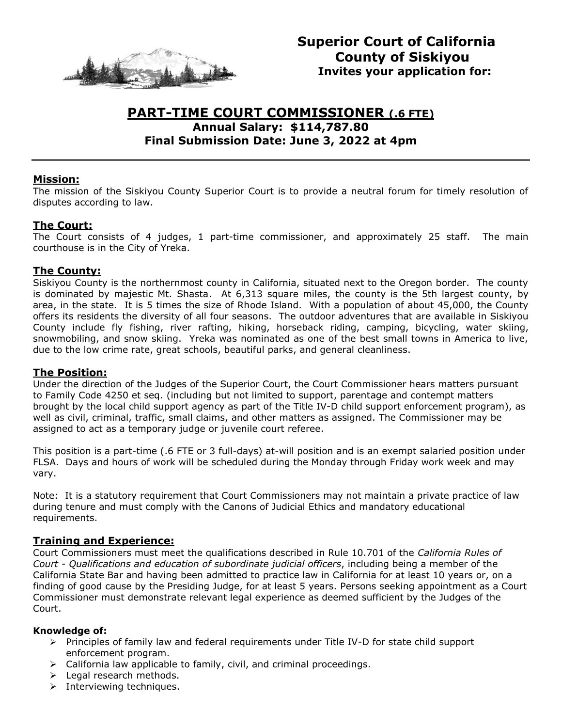

# **PART-TIME COURT COMMISSIONER (.6 FTE) Annual Salary: \$114,787.80 Final Submission Date: June 3, 2022 at 4pm**

### **Mission:**

The mission of the Siskiyou County Superior Court is to provide a neutral forum for timely resolution of disputes according to law.

### **The Court:**

The Court consists of 4 judges, 1 part-time commissioner, and approximately 25 staff. The main courthouse is in the City of Yreka.

### **The County:**

Siskiyou County is the northernmost county in California, situated next to the Oregon border. The county is dominated by majestic Mt. Shasta. At 6,313 square miles, the county is the 5th largest county, by area, in the state. It is 5 times the size of Rhode Island. With a population of about 45,000, the County offers its residents the diversity of all four seasons. The outdoor adventures that are available in Siskiyou County include fly fishing, river rafting, hiking, horseback riding, camping, bicycling, water skiing, snowmobiling, and snow skiing. Yreka was nominated as one of the best small towns in America to live, due to the low crime rate, great schools, beautiful parks, and general cleanliness.

### **The Position:**

Under the direction of the Judges of the Superior Court, the Court Commissioner hears matters pursuant to Family Code 4250 et seq. (including but not limited to support, parentage and contempt matters brought by the local child support agency as part of the Title IV-D child support enforcement program), as well as civil, criminal, traffic, small claims, and other matters as assigned. The Commissioner may be assigned to act as a temporary judge or juvenile court referee.

This position is a part-time (.6 FTE or 3 full-days) at-will position and is an exempt salaried position under FLSA. Days and hours of work will be scheduled during the Monday through Friday work week and may vary.

Note: It is a statutory requirement that Court Commissioners may not maintain a private practice of law during tenure and must comply with the Canons of Judicial Ethics and mandatory educational requirements.

### **Training and Experience:**

Court Commissioners must meet the qualifications described in Rule 10.701 of the *California Rules of Court - Qualifications and education of subordinate judicial officers*, including being a member of the California State Bar and having been admitted to practice law in California for at least 10 years or, on a finding of good cause by the Presiding Judge, for at least 5 years. Persons seeking appointment as a Court Commissioner must demonstrate relevant legal experience as deemed sufficient by the Judges of the Court.

### **Knowledge of:**

- ➢ Principles of family law and federal requirements under Title IV-D for state child support enforcement program.
- $\triangleright$  California law applicable to family, civil, and criminal proceedings.
- ➢ Legal research methods.
- ➢ Interviewing techniques.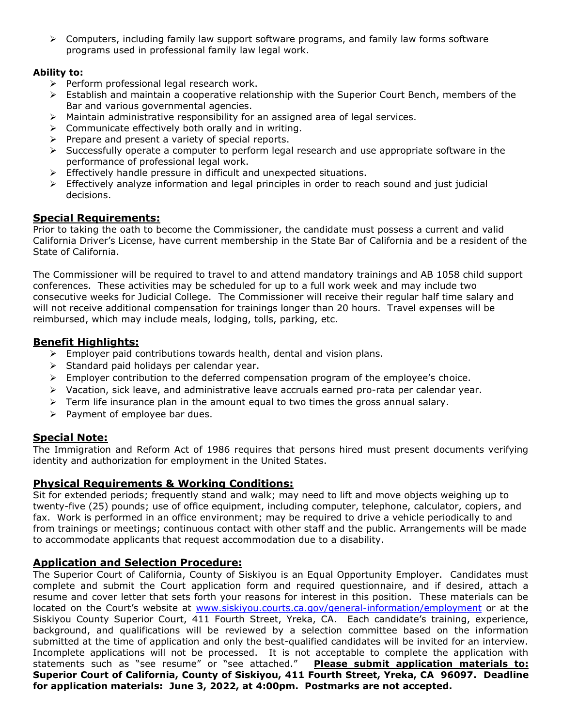➢ Computers, including family law support software programs, and family law forms software programs used in professional family law legal work.

### **Ability to:**

- ➢ Perform professional legal research work.
- ➢ Establish and maintain a cooperative relationship with the Superior Court Bench, members of the Bar and various governmental agencies.
- $\triangleright$  Maintain administrative responsibility for an assigned area of legal services.
- ➢ Communicate effectively both orally and in writing.
- ➢ Prepare and present a variety of special reports.
- $\triangleright$  Successfully operate a computer to perform legal research and use appropriate software in the performance of professional legal work.
- ➢ Effectively handle pressure in difficult and unexpected situations.
- $\triangleright$  Effectively analyze information and legal principles in order to reach sound and just judicial decisions.

## **Special Requirements:**

Prior to taking the oath to become the Commissioner, the candidate must possess a current and valid California Driver's License, have current membership in the State Bar of California and be a resident of the State of California.

The Commissioner will be required to travel to and attend mandatory trainings and AB 1058 child support conferences. These activities may be scheduled for up to a full work week and may include two consecutive weeks for Judicial College. The Commissioner will receive their regular half time salary and will not receive additional compensation for trainings longer than 20 hours. Travel expenses will be reimbursed, which may include meals, lodging, tolls, parking, etc.

## **Benefit Highlights:**

- $\triangleright$  Employer paid contributions towards health, dental and vision plans.
- ➢ Standard paid holidays per calendar year.
- $\triangleright$  Employer contribution to the deferred compensation program of the employee's choice.
- ➢ Vacation, sick leave, and administrative leave accruals earned pro-rata per calendar year.
- $\triangleright$  Term life insurance plan in the amount equal to two times the gross annual salary.
- ➢ Payment of employee bar dues.

## **Special Note:**

The Immigration and Reform Act of 1986 requires that persons hired must present documents verifying identity and authorization for employment in the United States.

## **Physical Requirements & Working Conditions:**

Sit for extended periods; frequently stand and walk; may need to lift and move objects weighing up to twenty-five (25) pounds; use of office equipment, including computer, telephone, calculator, copiers, and fax. Work is performed in an office environment; may be required to drive a vehicle periodically to and from trainings or meetings; continuous contact with other staff and the public. Arrangements will be made to accommodate applicants that request accommodation due to a disability.

## **Application and Selection Procedure:**

The Superior Court of California, County of Siskiyou is an Equal Opportunity Employer. Candidates must complete and submit the Court application form and required questionnaire, and if desired, attach a resume and cover letter that sets forth your reasons for interest in this position. These materials can be located on the Court's website at [www.siskiyou.courts.ca.gov/general-information/employment](http://www.siskiyou.courts.ca.gov/general-information/employment) or at the Siskiyou County Superior Court, 411 Fourth Street, Yreka, CA. Each candidate's training, experience, background, and qualifications will be reviewed by a selection committee based on the information submitted at the time of application and only the best-qualified candidates will be invited for an interview. Incomplete applications will not be processed. It is not acceptable to complete the application with statements such as "see resume" or "see attached." **Please submit application materials to: Superior Court of California, County of Siskiyou, 411 Fourth Street, Yreka, CA 96097. Deadline for application materials: June 3, 2022, at 4:00pm. Postmarks are not accepted.**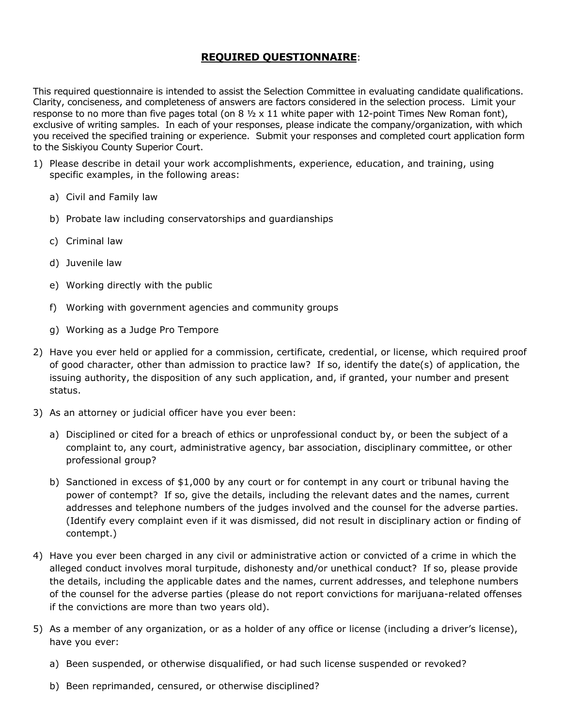## **REQUIRED QUESTIONNAIRE**:

This required questionnaire is intended to assist the Selection Committee in evaluating candidate qualifications. Clarity, conciseness, and completeness of answers are factors considered in the selection process. Limit your response to no more than five pages total (on  $8\frac{1}{2} \times 11$  white paper with 12-point Times New Roman font), exclusive of writing samples. In each of your responses, please indicate the company/organization, with which you received the specified training or experience. Submit your responses and completed court application form to the Siskiyou County Superior Court.

- 1) Please describe in detail your work accomplishments, experience, education, and training, using specific examples, in the following areas:
	- a) Civil and Family law
	- b) Probate law including conservatorships and guardianships
	- c) Criminal law
	- d) Juvenile law
	- e) Working directly with the public
	- f) Working with government agencies and community groups
	- g) Working as a Judge Pro Tempore
- 2) Have you ever held or applied for a commission, certificate, credential, or license, which required proof of good character, other than admission to practice law? If so, identify the date(s) of application, the issuing authority, the disposition of any such application, and, if granted, your number and present status.
- 3) As an attorney or judicial officer have you ever been:
	- a) Disciplined or cited for a breach of ethics or unprofessional conduct by, or been the subject of a complaint to, any court, administrative agency, bar association, disciplinary committee, or other professional group?
	- b) Sanctioned in excess of \$1,000 by any court or for contempt in any court or tribunal having the power of contempt? If so, give the details, including the relevant dates and the names, current addresses and telephone numbers of the judges involved and the counsel for the adverse parties. (Identify every complaint even if it was dismissed, did not result in disciplinary action or finding of contempt.)
- 4) Have you ever been charged in any civil or administrative action or convicted of a crime in which the alleged conduct involves moral turpitude, dishonesty and/or unethical conduct? If so, please provide the details, including the applicable dates and the names, current addresses, and telephone numbers of the counsel for the adverse parties (please do not report convictions for marijuana-related offenses if the convictions are more than two years old).
- 5) As a member of any organization, or as a holder of any office or license (including a driver's license), have you ever:
	- a) Been suspended, or otherwise disqualified, or had such license suspended or revoked?
	- b) Been reprimanded, censured, or otherwise disciplined?